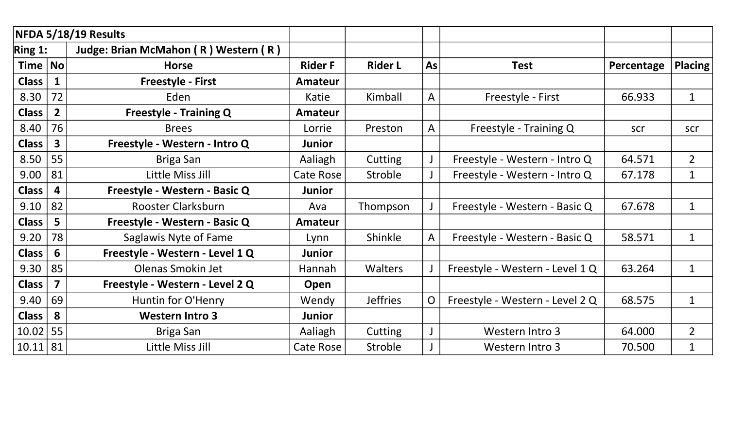|              |                         | NFDA 5/18/19 Results                 |                  |                 |                |                                 |            |                |
|--------------|-------------------------|--------------------------------------|------------------|-----------------|----------------|---------------------------------|------------|----------------|
| Ring 1:      |                         | Judge: Brian McMahon (R) Western (R) |                  |                 |                |                                 |            |                |
| Time   No    |                         | <b>Horse</b>                         | <b>Rider F</b>   | <b>Rider L</b>  | As             | <b>Test</b>                     | Percentage | <b>Placing</b> |
| <b>Class</b> |                         | <b>Freestyle - First</b>             | Amateur          |                 |                |                                 |            |                |
| 8.30         | 72                      | Eden                                 | Katie            | Kimball         | A              | Freestyle - First               | 66.933     | $\mathbf{1}$   |
| <b>Class</b> | $\overline{2}$          | <b>Freestyle - Training Q</b>        | <b>Amateur</b>   |                 |                |                                 |            |                |
| 8.40         | 76                      | <b>Brees</b>                         | Lorrie           | Preston         | A              | Freestyle - Training Q          | scr        | scr            |
| <b>Class</b> | $\overline{\mathbf{3}}$ | Freestyle - Western - Intro Q        | <b>Junior</b>    |                 |                |                                 |            |                |
| 8.50         | 55                      | Briga San                            | Aaliagh          | Cutting         |                | Freestyle - Western - Intro Q   | 64.571     | $\overline{2}$ |
| 9.00         | 81                      | Little Miss Jill                     | <b>Cate Rose</b> | Stroble         |                | Freestyle - Western - Intro Q   | 67.178     | $\mathbf 1$    |
| <b>Class</b> | 4                       | Freestyle - Western - Basic Q        | <b>Junior</b>    |                 |                |                                 |            |                |
| 9.10         | 82                      | <b>Rooster Clarksburn</b>            | Ava              | Thompson        |                | Freestyle - Western - Basic Q   | 67.678     | $\mathbf{1}$   |
| <b>Class</b> | 5                       | Freestyle - Western - Basic Q        | Amateur          |                 |                |                                 |            |                |
| 9.20         | 78                      | Saglawis Nyte of Fame                | Lynn             | Shinkle         | A              | Freestyle - Western - Basic Q   | 58.571     | $\mathbf{1}$   |
| <b>Class</b> | $6\overline{6}$         | Freestyle - Western - Level 1 Q      | <b>Junior</b>    |                 |                |                                 |            |                |
| 9.30         | 85                      | Olenas Smokin Jet                    | Hannah           | <b>Walters</b>  |                | Freestyle - Western - Level 1 Q | 63.264     | $\mathbf{1}$   |
| <b>Class</b> | 7                       | Freestyle - Western - Level 2 Q      | Open             |                 |                |                                 |            |                |
| 9.40         | 69                      | Huntin for O'Henry                   | Wendy            | <b>Jeffries</b> | $\overline{O}$ | Freestyle - Western - Level 2 Q | 68.575     | $\mathbf 1$    |
| <b>Class</b> | 8                       | <b>Western Intro 3</b>               | <b>Junior</b>    |                 |                |                                 |            |                |
| 10.02        | 55                      | Briga San                            | Aaliagh          | Cutting         |                | Western Intro 3                 | 64.000     | $\overline{2}$ |
| 10.11 81     |                         | Little Miss Jill                     | Cate Rose        | Stroble         |                | Western Intro 3                 | 70.500     | 1              |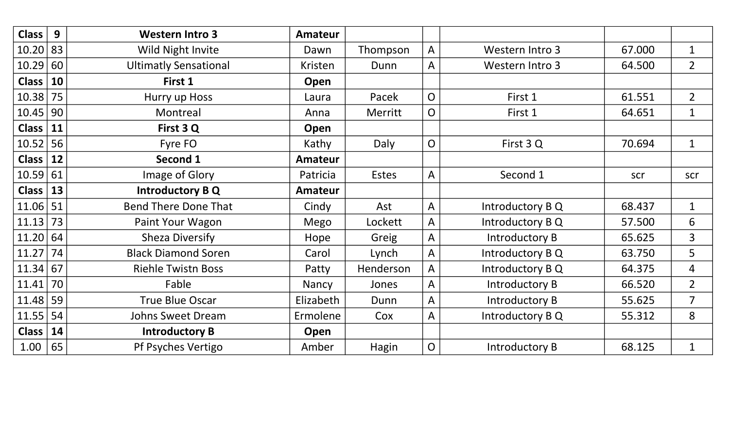| <b>Class</b>  | 9  | <b>Western Intro 3</b>       | Amateur        |              |                |                  |        |                |
|---------------|----|------------------------------|----------------|--------------|----------------|------------------|--------|----------------|
| 10.20   83    |    | Wild Night Invite            | Dawn           | Thompson     | $\mathsf{A}$   | Western Intro 3  | 67.000 | $\mathbf{1}$   |
| 10.29         | 60 | <b>Ultimatly Sensational</b> | Kristen        | Dunn         | A              | Western Intro 3  | 64.500 | $\overline{2}$ |
| <b>Class</b>  | 10 | First 1                      | Open           |              |                |                  |        |                |
| $10.38$ 75    |    | Hurry up Hoss                | Laura          | Pacek        | $\overline{O}$ | First 1          | 61.551 | $\overline{2}$ |
| $10.45$ 90    |    | Montreal                     | Anna           | Merritt      | $\overline{O}$ | First 1          | 64.651 | $\mathbf{1}$   |
| $Class \vert$ | 11 | First 3 Q                    | Open           |              |                |                  |        |                |
| $10.52$ 56    |    | Fyre FO                      | Kathy          | Daly         | $\overline{O}$ | First 3 Q        | 70.694 | $\mathbf{1}$   |
| <b>Class</b>  | 12 | Second 1                     | <b>Amateur</b> |              |                |                  |        |                |
| 10.59 61      |    | Image of Glory               | Patricia       | <b>Estes</b> | $\mathsf{A}$   | Second 1         | scr    | scr            |
| $Class \vert$ | 13 | <b>Introductory B Q</b>      | <b>Amateur</b> |              |                |                  |        |                |
| 11.06         | 51 | <b>Bend There Done That</b>  | Cindy          | Ast          | $\mathsf{A}$   | Introductory B Q | 68.437 | $\mathbf{1}$   |
| 11.13         | 73 | Paint Your Wagon             | Mego           | Lockett      | $\mathsf{A}$   | Introductory B Q | 57.500 | 6              |
| 11.20         | 64 | <b>Sheza Diversify</b>       | Hope           | Greig        | $\mathsf{A}$   | Introductory B   | 65.625 | $\overline{3}$ |
| 11.27         | 74 | <b>Black Diamond Soren</b>   | Carol          | Lynch        | $\mathsf{A}$   | Introductory B Q | 63.750 | 5              |
| 11.34 67      |    | <b>Riehle Twistn Boss</b>    | Patty          | Henderson    | $\mathsf{A}$   | Introductory B Q | 64.375 | 4              |
| 11.41         | 70 | Fable                        | Nancy          | Jones        | A              | Introductory B   | 66.520 | $\overline{2}$ |
| 11.48         | 59 | <b>True Blue Oscar</b>       | Elizabeth      | Dunn         | $\mathsf{A}$   | Introductory B   | 55.625 | $\overline{7}$ |
| 11.55         | 54 | <b>Johns Sweet Dream</b>     | Ermolene       | Cox          | $\mathsf{A}$   | Introductory B Q | 55.312 | 8              |
| $Class \vert$ | 14 | <b>Introductory B</b>        | Open           |              |                |                  |        |                |
| 1.00   65     |    | Pf Psyches Vertigo           | Amber          | Hagin        | $\overline{O}$ | Introductory B   | 68.125 | $\mathbf{1}$   |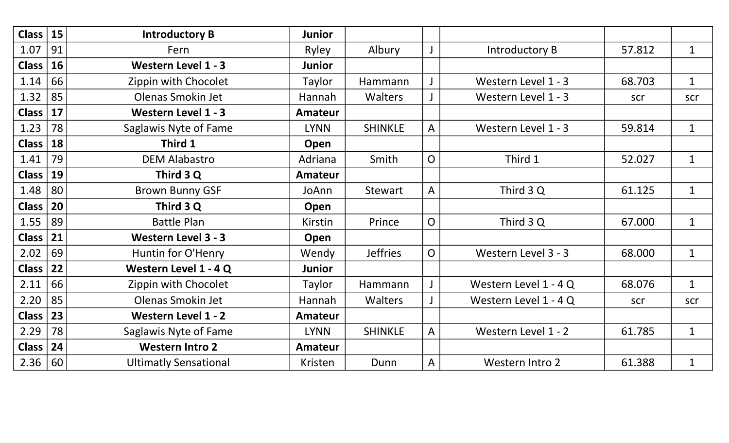| <b>Class</b> | 15 | <b>Introductory B</b>        | <b>Junior</b>  |                 |                |                        |        |              |
|--------------|----|------------------------------|----------------|-----------------|----------------|------------------------|--------|--------------|
| 1.07         | 91 | Fern                         | Ryley          | Albury          |                | Introductory B         | 57.812 | $\mathbf{1}$ |
| <b>Class</b> | 16 | <b>Western Level 1 - 3</b>   | <b>Junior</b>  |                 |                |                        |        |              |
| 1.14         | 66 | Zippin with Chocolet         | Taylor         | Hammann         |                | Western Level 1 - 3    | 68.703 | $\mathbf{1}$ |
| 1.32         | 85 | Olenas Smokin Jet            | Hannah         | <b>Walters</b>  |                | Western Level 1 - 3    | scr    | scr          |
| <b>Class</b> | 17 | <b>Western Level 1 - 3</b>   | <b>Amateur</b> |                 |                |                        |        |              |
| 1.23         | 78 | Saglawis Nyte of Fame        | <b>LYNN</b>    | <b>SHINKLE</b>  | A              | Western Level 1 - 3    | 59.814 | $\mathbf{1}$ |
| <b>Class</b> | 18 | Third 1                      | Open           |                 |                |                        |        |              |
| 1.41         | 79 | <b>DEM Alabastro</b>         | Adriana        | Smith           | $\overline{O}$ | Third 1                | 52.027 | $\mathbf{1}$ |
| <b>Class</b> | 19 | Third 3 Q                    | Amateur        |                 |                |                        |        |              |
| 1.48         | 80 | <b>Brown Bunny GSF</b>       | JoAnn          | Stewart         | $\mathsf{A}$   | Third 3 Q              | 61.125 | $\mathbf{1}$ |
| <b>Class</b> | 20 | Third 3 Q                    | Open           |                 |                |                        |        |              |
| 1.55         | 89 | <b>Battle Plan</b>           | Kirstin        | Prince          | $\overline{O}$ | Third 3 Q              | 67.000 | $\mathbf{1}$ |
| <b>Class</b> | 21 | <b>Western Level 3 - 3</b>   | Open           |                 |                |                        |        |              |
| 2.02         | 69 | Huntin for O'Henry           | Wendy          | <b>Jeffries</b> | $\overline{O}$ | Western Level 3 - 3    | 68.000 | $\mathbf{1}$ |
| <b>Class</b> | 22 | Western Level 1 - 4 Q        | <b>Junior</b>  |                 |                |                        |        |              |
| 2.11         | 66 | Zippin with Chocolet         | Taylor         | Hammann         |                | Western Level 1 - 4 Q  | 68.076 | $\mathbf{1}$ |
| 2.20         | 85 | <b>Olenas Smokin Jet</b>     | Hannah         | <b>Walters</b>  |                | Western Level 1 - 4 Q  | scr    | scr          |
| <b>Class</b> | 23 | Western Level 1 - 2          | <b>Amateur</b> |                 |                |                        |        |              |
| 2.29         | 78 | Saglawis Nyte of Fame        | <b>LYNN</b>    | <b>SHINKLE</b>  | A              | Western Level 1 - 2    | 61.785 | $\mathbf{1}$ |
| <b>Class</b> | 24 | <b>Western Intro 2</b>       | <b>Amateur</b> |                 |                |                        |        |              |
| 2.36   60    |    | <b>Ultimatly Sensational</b> | Kristen        | Dunn            | A              | <b>Western Intro 2</b> | 61.388 | $\mathbf{1}$ |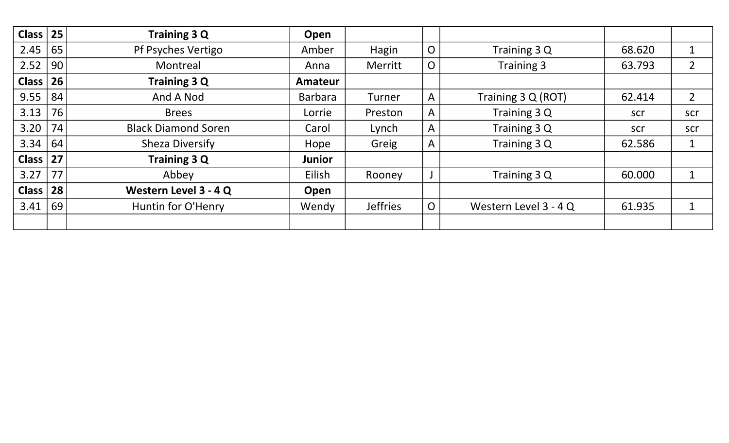| <b>Class</b> | 25 | <b>Training 3 Q</b>        | Open           |                 |                |                       |        |                |
|--------------|----|----------------------------|----------------|-----------------|----------------|-----------------------|--------|----------------|
| 2.45         | 65 | Pf Psyches Vertigo         | Amber          | Hagin           | $\overline{O}$ | Training 3 Q          | 68.620 | $\mathbf 1$    |
| 2.52         | 90 | Montreal                   | Anna           | <b>Merritt</b>  | $\overline{O}$ | <b>Training 3</b>     | 63.793 | $\overline{2}$ |
| Class        | 26 | <b>Training 3 Q</b>        | Amateur        |                 |                |                       |        |                |
| 9.55         | 84 | And A Nod                  | <b>Barbara</b> | Turner          | A              | Training 3 Q (ROT)    | 62.414 | $\overline{2}$ |
| 3.13         | 76 | <b>Brees</b>               | Lorrie         | Preston         | A              | Training 3 Q          | scr    | scr            |
| 3.20         | 74 | <b>Black Diamond Soren</b> | Carol          | Lynch           | $\mathsf{A}$   | Training 3 Q          | scr    | scr            |
| 3.34         | 64 | <b>Sheza Diversify</b>     | Hope           | Greig           | A              | Training 3 Q          | 62.586 | $\mathbf 1$    |
| Class $ 27 $ |    | <b>Training 3 Q</b>        | <b>Junior</b>  |                 |                |                       |        |                |
| 3.27         | 77 | Abbey                      | Eilish         | Rooney          |                | Training 3 Q          | 60.000 | $\mathbf 1$    |
| Class        | 28 | Western Level 3 - 4 Q      | Open           |                 |                |                       |        |                |
| 3.41         | 69 | Huntin for O'Henry         | Wendy          | <b>Jeffries</b> | $\overline{O}$ | Western Level 3 - 4 Q | 61.935 | $\mathbf 1$    |
|              |    |                            |                |                 |                |                       |        |                |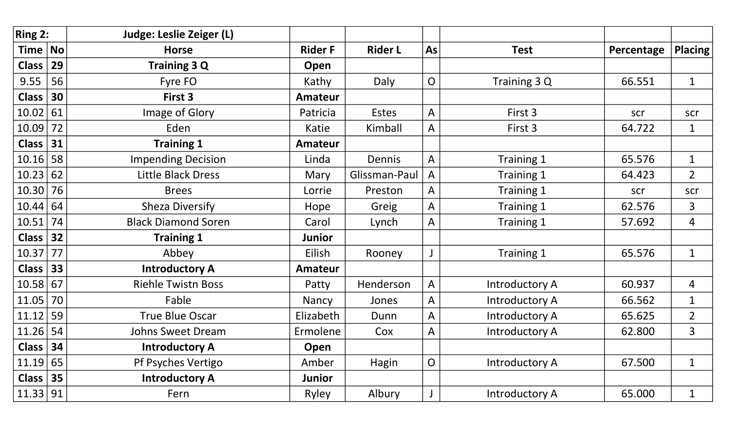| Ring 2:      |                             | <b>Judge: Leslie Zeiger (L)</b> |                |                |                |                       |            |                |
|--------------|-----------------------------|---------------------------------|----------------|----------------|----------------|-----------------------|------------|----------------|
| <b>Time</b>  | $\overline{\phantom{a}}$ No | <b>Horse</b>                    | <b>Rider F</b> | <b>Rider L</b> | As             | <b>Test</b>           | Percentage | <b>Placing</b> |
| <b>Class</b> | 29                          | <b>Training 3 Q</b>             | Open           |                |                |                       |            |                |
| 9.55         | 56                          | Fyre FO                         | Kathy          | Daly           | $\overline{O}$ | Training 3 Q          | 66.551     | $\mathbf{1}$   |
| <b>Class</b> | 30                          | First 3                         | <b>Amateur</b> |                |                |                       |            |                |
| 10.02        | 61                          | Image of Glory                  | Patricia       | <b>Estes</b>   | A              | First 3               | scr        | scr            |
| 10.09        | 72                          | Eden                            | Katie          | Kimball        | $\mathsf{A}$   | First 3               | 64.722     | $\mathbf{1}$   |
| <b>Class</b> | 31                          | <b>Training 1</b>               | <b>Amateur</b> |                |                |                       |            |                |
| 10.16        | 58                          | <b>Impending Decision</b>       | Linda          | Dennis         | A              | Training 1            | 65.576     | $\mathbf{1}$   |
| 10.23        | 62                          | <b>Little Black Dress</b>       | Mary           | Glissman-Paul  | A              | Training 1            | 64.423     | $\overline{2}$ |
| 10.30        | 76                          | <b>Brees</b>                    | Lorrie         | Preston        | A              | Training 1            | scr        | scr            |
| 10.44        | 64                          | <b>Sheza Diversify</b>          | Hope           | Greig          | $\mathsf{A}$   | Training 1            | 62.576     | $\overline{3}$ |
| 10.51        | 74                          | <b>Black Diamond Soren</b>      | Carol          | Lynch          | A              | Training 1            | 57.692     | $\overline{4}$ |
| Class $ $    | 32                          | <b>Training 1</b>               | <b>Junior</b>  |                |                |                       |            |                |
| 10.37        | 77                          | Abbey                           | Eilish         | Rooney         |                | Training 1            | 65.576     | $\mathbf{1}$   |
| <b>Class</b> | 33                          | <b>Introductory A</b>           | <b>Amateur</b> |                |                |                       |            |                |
| 10.58        | 67                          | <b>Riehle Twistn Boss</b>       | Patty          | Henderson      | A              | Introductory A        | 60.937     | 4              |
| 11.05        | 70                          | Fable                           | Nancy          | Jones          | A              | Introductory A        | 66.562     | $\mathbf{1}$   |
| 11.12        | 59                          | <b>True Blue Oscar</b>          | Elizabeth      | Dunn           | $\mathsf{A}$   | <b>Introductory A</b> | 65.625     | $\overline{2}$ |
| 11.26        | 54                          | <b>Johns Sweet Dream</b>        | Ermolene       | Cox            | $\mathsf{A}$   | <b>Introductory A</b> | 62.800     | $\overline{3}$ |
| <b>Class</b> | 34                          | <b>Introductory A</b>           | Open           |                |                |                       |            |                |
| 11.19        | 65                          | Pf Psyches Vertigo              | Amber          | Hagin          | $\overline{O}$ | Introductory A        | 67.500     | $\mathbf{1}$   |
| Class $ $    | 35                          | <b>Introductory A</b>           | <b>Junior</b>  |                |                |                       |            |                |
| 11.33 91     |                             | Fern                            | Ryley          | Albury         |                | Introductory A        | 65.000     | $\mathbf{1}$   |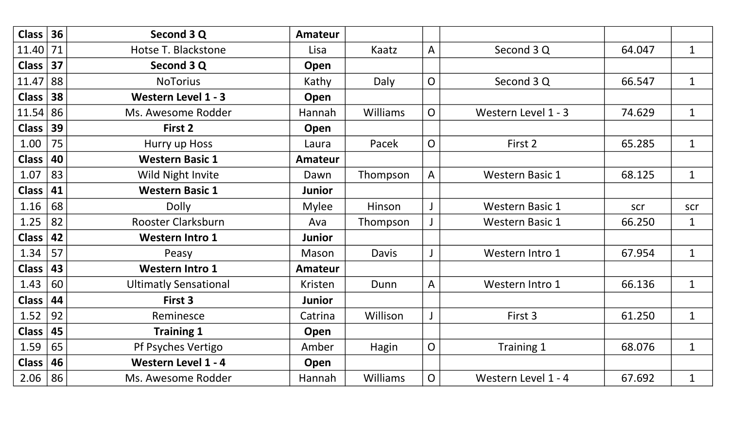| $Class \vert$     | 36 | Second 3 Q                   | <b>Amateur</b> |              |                |                        |        |              |
|-------------------|----|------------------------------|----------------|--------------|----------------|------------------------|--------|--------------|
| 11.40             | 71 | Hotse T. Blackstone          | Lisa           | Kaatz        | A              | Second 3 Q             | 64.047 | $\mathbf{1}$ |
| $Class \vert$     | 37 | Second 3 Q                   | Open           |              |                |                        |        |              |
| 11.47             | 88 | <b>NoTorius</b>              | Kathy          | Daly         | $\overline{O}$ | Second 3 Q             | 66.547 | $\mathbf 1$  |
| <b>Class</b>      | 38 | <b>Western Level 1 - 3</b>   | Open           |              |                |                        |        |              |
| 11.54 86          |    | Ms. Awesome Rodder           | <b>Hannah</b>  | Williams     | $\overline{O}$ | Western Level 1 - 3    | 74.629 | $\mathbf{1}$ |
| Class             | 39 | First 2                      | Open           |              |                |                        |        |              |
| 1.00              | 75 | Hurry up Hoss                | Laura          | Pacek        | $\overline{O}$ | First 2                | 65.285 | $\mathbf{1}$ |
| <b>Class</b>      | 40 | <b>Western Basic 1</b>       | <b>Amateur</b> |              |                |                        |        |              |
| 1.07              | 83 | Wild Night Invite            | Dawn           | Thompson     | $\mathsf{A}$   | <b>Western Basic 1</b> | 68.125 | $\mathbf{1}$ |
| <b>Class</b>      | 41 | <b>Western Basic 1</b>       | <b>Junior</b>  |              |                |                        |        |              |
| 1.16              | 68 | <b>Dolly</b>                 | <b>Mylee</b>   | Hinson       |                | <b>Western Basic 1</b> | scr    | scr          |
| 1.25              | 82 | Rooster Clarksburn           | Ava            | Thompson     |                | <b>Western Basic 1</b> | 66.250 | $\mathbf{1}$ |
| <b>Class</b>      | 42 | <b>Western Intro 1</b>       | <b>Junior</b>  |              |                |                        |        |              |
| 1.34              | 57 | Peasy                        | Mason          | <b>Davis</b> |                | Western Intro 1        | 67.954 | $\mathbf{1}$ |
| <b>Class</b>      | 43 | <b>Western Intro 1</b>       | <b>Amateur</b> |              |                |                        |        |              |
| 1.43              | 60 | <b>Ultimatly Sensational</b> | <b>Kristen</b> | Dunn         | A              | Western Intro 1        | 66.136 | $\mathbf{1}$ |
| <b>Class</b>      | 44 | First 3                      | <b>Junior</b>  |              |                |                        |        |              |
| 1.52              | 92 | Reminesce                    | Catrina        | Willison     |                | First 3                | 61.250 | $\mathbf{1}$ |
| <b>Class</b>      | 45 | <b>Training 1</b>            | Open           |              |                |                        |        |              |
| 1.59              | 65 | Pf Psyches Vertigo           | Amber          | Hagin        | $\mathsf{O}$   | Training 1             | 68.076 | $\mathbf{1}$ |
| <b>Class</b>      | 46 | Western Level 1 - 4          | Open           |              |                |                        |        |              |
| $2.06 \,   \, 86$ |    | Ms. Awesome Rodder           | Hannah         | Williams     | O              | Western Level 1 - 4    | 67.692 | $\mathbf{1}$ |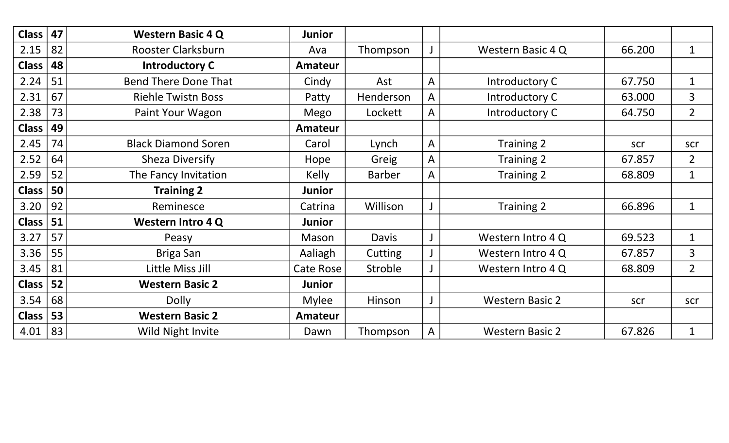| Class         | 47 | <b>Western Basic 4 Q</b>    | <b>Junior</b>  |               |              |                        |        |                |
|---------------|----|-----------------------------|----------------|---------------|--------------|------------------------|--------|----------------|
| 2.15          | 82 | Rooster Clarksburn          | Ava            | Thompson      |              | Western Basic 4 Q      | 66.200 | $\mathbf{1}$   |
| Class         | 48 | <b>Introductory C</b>       | <b>Amateur</b> |               |              |                        |        |                |
| 2.24          | 51 | <b>Bend There Done That</b> | Cindy          | Ast           | $\mathsf{A}$ | Introductory C         | 67.750 | $\mathbf{1}$   |
| 2.31          | 67 | <b>Riehle Twistn Boss</b>   | Patty          | Henderson     | A            | Introductory C         | 63.000 | 3              |
| 2.38          | 73 | Paint Your Wagon            | Mego           | Lockett       | A            | Introductory C         | 64.750 | $\overline{2}$ |
| <b>Class</b>  | 49 |                             | <b>Amateur</b> |               |              |                        |        |                |
| 2.45          | 74 | <b>Black Diamond Soren</b>  | Carol          | Lynch         | $\mathsf{A}$ | Training 2             | scr    | scr            |
| 2.52          | 64 | <b>Sheza Diversify</b>      | Hope           | Greig         | $\mathsf{A}$ | Training 2             | 67.857 | $\overline{2}$ |
| 2.59          | 52 | The Fancy Invitation        | <b>Kelly</b>   | <b>Barber</b> | $\mathsf{A}$ | <b>Training 2</b>      | 68.809 | $\mathbf{1}$   |
| <b>Class</b>  | 50 | <b>Training 2</b>           | <b>Junior</b>  |               |              |                        |        |                |
| 3.20          | 92 | Reminesce                   | Catrina        | Willison      |              | <b>Training 2</b>      | 66.896 | $\mathbf{1}$   |
| $Class \vert$ | 51 | <b>Western Intro 4 Q</b>    | <b>Junior</b>  |               |              |                        |        |                |
| 3.27          | 57 | Peasy                       | Mason          | Davis         |              | Western Intro 4 Q      | 69.523 | $\mathbf{1}$   |
| 3.36          | 55 | Briga San                   | Aaliagh        | Cutting       |              | Western Intro 4 Q      | 67.857 | 3              |
| 3.45          | 81 | Little Miss Jill            | Cate Rose      | Stroble       |              | Western Intro 4 Q      | 68.809 | $\overline{2}$ |
| <b>Class</b>  | 52 | <b>Western Basic 2</b>      | <b>Junior</b>  |               |              |                        |        |                |
| 3.54          | 68 | <b>Dolly</b>                | <b>Mylee</b>   | Hinson        |              | <b>Western Basic 2</b> | scr    | scr            |
| Class         | 53 | <b>Western Basic 2</b>      | <b>Amateur</b> |               |              |                        |        |                |
| $4.01$ 83     |    | Wild Night Invite           | Dawn           | Thompson      | A            | <b>Western Basic 2</b> | 67.826 | $\mathbf{1}$   |